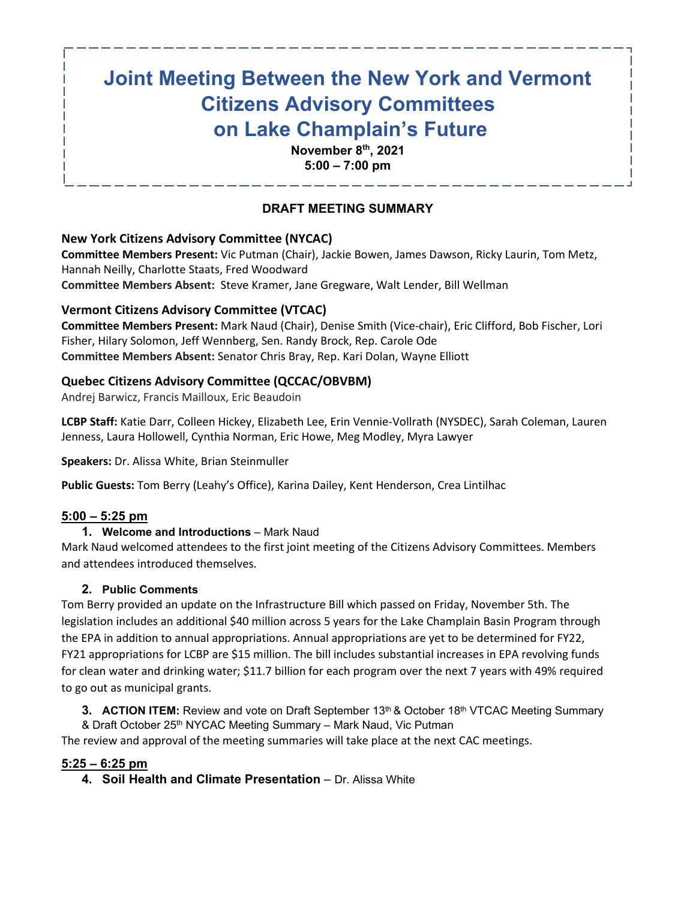# **Joint Meeting Between the New York and Vermont Citizens Advisory Committees on Lake Champlain's Future**

**November 8th, 2021 5:00 – 7:00 pm**

# **DRAFT MEETING SUMMARY**

## **New York Citizens Advisory Committee (NYCAC)**

**Committee Members Present:** Vic Putman (Chair), Jackie Bowen, James Dawson, Ricky Laurin, Tom Metz, Hannah Neilly, Charlotte Staats, Fred Woodward **Committee Members Absent:** Steve Kramer, Jane Gregware, Walt Lender, Bill Wellman

#### **Vermont Citizens Advisory Committee (VTCAC)**

**Committee Members Present:** Mark Naud (Chair), Denise Smith (Vice-chair), Eric Clifford, Bob Fischer, Lori Fisher, Hilary Solomon, Jeff Wennberg, Sen. Randy Brock, Rep. Carole Ode **Committee Members Absent:** Senator Chris Bray, Rep. Kari Dolan, Wayne Elliott

## **Quebec Citizens Advisory Committee (QCCAC/OBVBM)**

Andrej Barwicz, Francis Mailloux, Eric Beaudoin

**LCBP Staff:** Katie Darr, Colleen Hickey, Elizabeth Lee, Erin Vennie-Vollrath (NYSDEC), Sarah Coleman, Lauren Jenness, Laura Hollowell, Cynthia Norman, Eric Howe, Meg Modley, Myra Lawyer

**Speakers:** Dr. Alissa White, Brian Steinmuller

**Public Guests:** Tom Berry (Leahy's Office), Karina Dailey, Kent Henderson, Crea Lintilhac

## **5:00 – 5:25 pm**

## **1. Welcome and Introductions** – Mark Naud

Mark Naud welcomed attendees to the first joint meeting of the Citizens Advisory Committees. Members and attendees introduced themselves.

## **2. Public Comments**

Tom Berry provided an update on the Infrastructure Bill which passed on Friday, November 5th. The legislation includes an additional \$40 million across 5 years for the Lake Champlain Basin Program through the EPA in addition to annual appropriations. Annual appropriations are yet to be determined for FY22, FY21 appropriations for LCBP are \$15 million. The bill includes substantial increases in EPA revolving funds for clean water and drinking water; \$11.7 billion for each program over the next 7 years with 49% required to go out as municipal grants.

**3. ACTION ITEM:** Review and vote on Draft September 13<sup>th</sup> & October 18<sup>th</sup> VTCAC Meeting Summary & Draft October 25<sup>th</sup> NYCAC Meeting Summary – Mark Naud, Vic Putman

The review and approval of the meeting summaries will take place at the next CAC meetings.

#### **5:25 – 6:25 pm**

**4. Soil Health and Climate Presentation** – Dr. Alissa White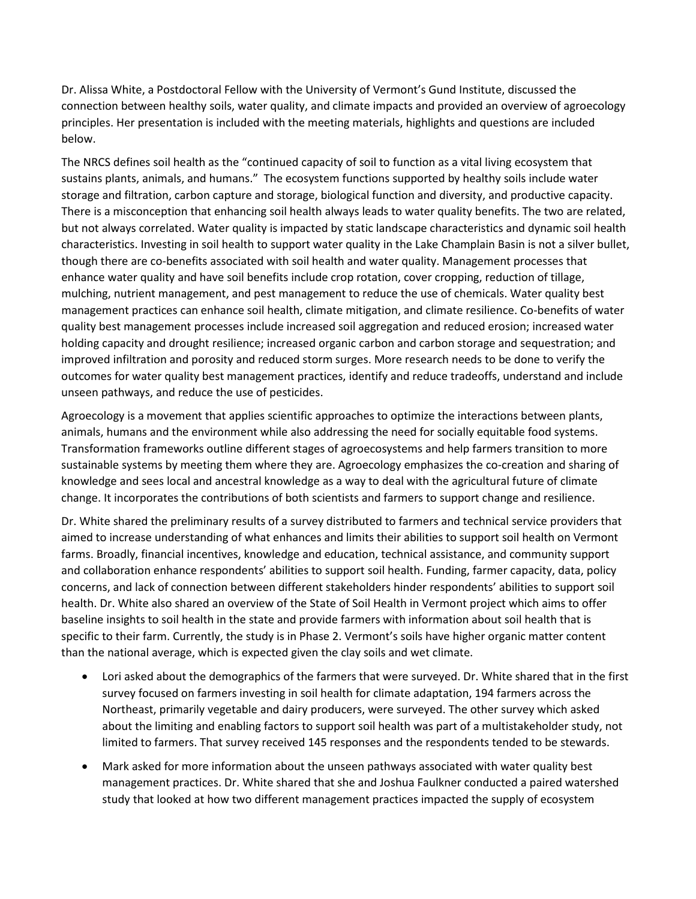Dr. Alissa White, a Postdoctoral Fellow with the University of Vermont's Gund Institute, discussed the connection between healthy soils, water quality, and climate impacts and provided an overview of agroecology principles. Her presentation is included with the meeting materials, highlights and questions are included below.

The NRCS defines soil health as the "continued capacity of soil to function as a vital living ecosystem that sustains plants, animals, and humans." The ecosystem functions supported by healthy soils include water storage and filtration, carbon capture and storage, biological function and diversity, and productive capacity. There is a misconception that enhancing soil health always leads to water quality benefits. The two are related, but not always correlated. Water quality is impacted by static landscape characteristics and dynamic soil health characteristics. Investing in soil health to support water quality in the Lake Champlain Basin is not a silver bullet, though there are co-benefits associated with soil health and water quality. Management processes that enhance water quality and have soil benefits include crop rotation, cover cropping, reduction of tillage, mulching, nutrient management, and pest management to reduce the use of chemicals. Water quality best management practices can enhance soil health, climate mitigation, and climate resilience. Co-benefits of water quality best management processes include increased soil aggregation and reduced erosion; increased water holding capacity and drought resilience; increased organic carbon and carbon storage and sequestration; and improved infiltration and porosity and reduced storm surges. More research needs to be done to verify the outcomes for water quality best management practices, identify and reduce tradeoffs, understand and include unseen pathways, and reduce the use of pesticides.

Agroecology is a movement that applies scientific approaches to optimize the interactions between plants, animals, humans and the environment while also addressing the need for socially equitable food systems. Transformation frameworks outline different stages of agroecosystems and help farmers transition to more sustainable systems by meeting them where they are. Agroecology emphasizes the co-creation and sharing of knowledge and sees local and ancestral knowledge as a way to deal with the agricultural future of climate change. It incorporates the contributions of both scientists and farmers to support change and resilience.

Dr. White shared the preliminary results of a survey distributed to farmers and technical service providers that aimed to increase understanding of what enhances and limits their abilities to support soil health on Vermont farms. Broadly, financial incentives, knowledge and education, technical assistance, and community support and collaboration enhance respondents' abilities to support soil health. Funding, farmer capacity, data, policy concerns, and lack of connection between different stakeholders hinder respondents' abilities to support soil health. Dr. White also shared an overview of the State of Soil Health in Vermont project which aims to offer baseline insights to soil health in the state and provide farmers with information about soil health that is specific to their farm. Currently, the study is in Phase 2. Vermont's soils have higher organic matter content than the national average, which is expected given the clay soils and wet climate.

- Lori asked about the demographics of the farmers that were surveyed. Dr. White shared that in the first survey focused on farmers investing in soil health for climate adaptation, 194 farmers across the Northeast, primarily vegetable and dairy producers, were surveyed. The other survey which asked about the limiting and enabling factors to support soil health was part of a multistakeholder study, not limited to farmers. That survey received 145 responses and the respondents tended to be stewards.
- Mark asked for more information about the unseen pathways associated with water quality best management practices. Dr. White shared that she and Joshua Faulkner conducted a paired watershed study that looked at how two different management practices impacted the supply of ecosystem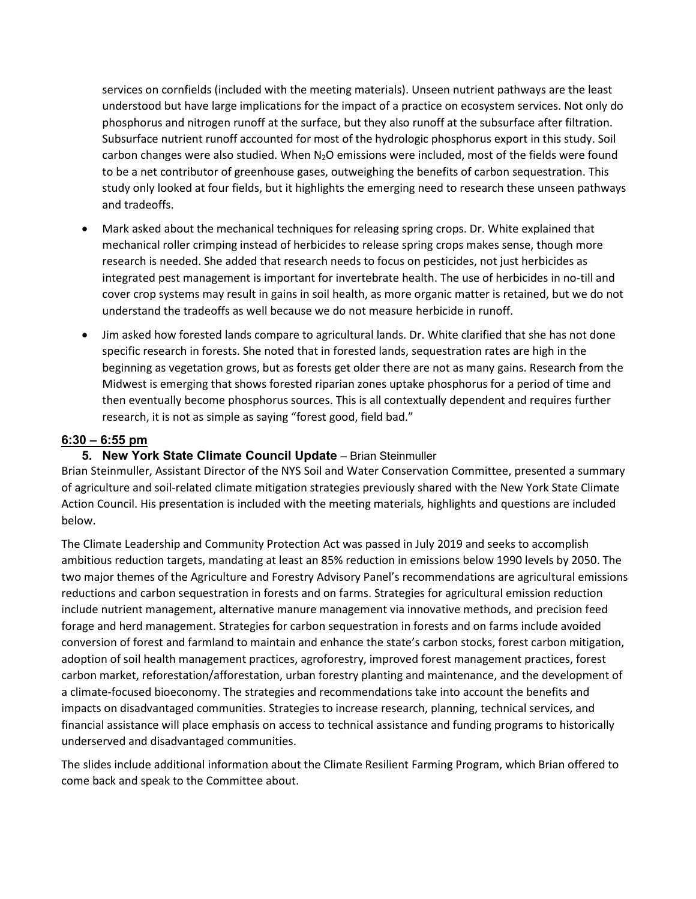services on cornfields (included with the meeting materials). Unseen nutrient pathways are the least understood but have large implications for the impact of a practice on ecosystem services. Not only do phosphorus and nitrogen runoff at the surface, but they also runoff at the subsurface after filtration. Subsurface nutrient runoff accounted for most of the hydrologic phosphorus export in this study. Soil carbon changes were also studied. When  $N_2O$  emissions were included, most of the fields were found to be a net contributor of greenhouse gases, outweighing the benefits of carbon sequestration. This study only looked at four fields, but it highlights the emerging need to research these unseen pathways and tradeoffs.

- Mark asked about the mechanical techniques for releasing spring crops. Dr. White explained that mechanical roller crimping instead of herbicides to release spring crops makes sense, though more research is needed. She added that research needs to focus on pesticides, not just herbicides as integrated pest management is important for invertebrate health. The use of herbicides in no-till and cover crop systems may result in gains in soil health, as more organic matter is retained, but we do not understand the tradeoffs as well because we do not measure herbicide in runoff.
- Jim asked how forested lands compare to agricultural lands. Dr. White clarified that she has not done specific research in forests. She noted that in forested lands, sequestration rates are high in the beginning as vegetation grows, but as forests get older there are not as many gains. Research from the Midwest is emerging that shows forested riparian zones uptake phosphorus for a period of time and then eventually become phosphorus sources. This is all contextually dependent and requires further research, it is not as simple as saying "forest good, field bad."

#### **6:30 – 6:55 pm**

#### **5. New York State Climate Council Update** - Brian Steinmuller

Brian Steinmuller, Assistant Director of the NYS Soil and Water Conservation Committee, presented a summary of agriculture and soil-related climate mitigation strategies previously shared with the New York State Climate Action Council. His presentation is included with the meeting materials, highlights and questions are included below.

The Climate Leadership and Community Protection Act was passed in July 2019 and seeks to accomplish ambitious reduction targets, mandating at least an 85% reduction in emissions below 1990 levels by 2050. The two major themes of the Agriculture and Forestry Advisory Panel's recommendations are agricultural emissions reductions and carbon sequestration in forests and on farms. Strategies for agricultural emission reduction include nutrient management, alternative manure management via innovative methods, and precision feed forage and herd management. Strategies for carbon sequestration in forests and on farms include avoided conversion of forest and farmland to maintain and enhance the state's carbon stocks, forest carbon mitigation, adoption of soil health management practices, agroforestry, improved forest management practices, forest carbon market, reforestation/afforestation, urban forestry planting and maintenance, and the development of a climate-focused bioeconomy. The strategies and recommendations take into account the benefits and impacts on disadvantaged communities. Strategies to increase research, planning, technical services, and financial assistance will place emphasis on access to technical assistance and funding programs to historically underserved and disadvantaged communities.

The slides include additional information about the Climate Resilient Farming Program, which Brian offered to come back and speak to the Committee about.